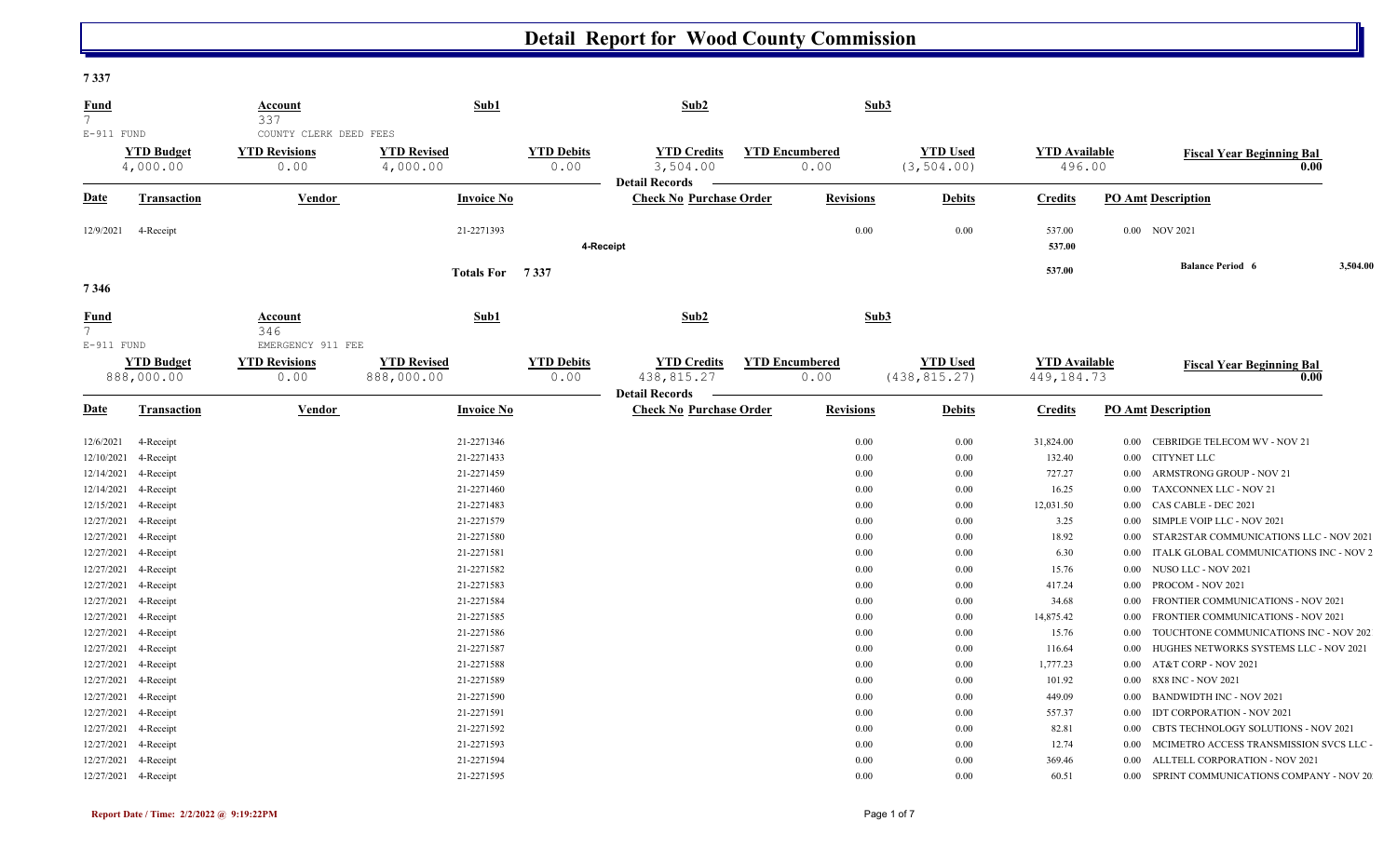**7 337** 

| <u>Fund</u><br>$7^{\circ}$ |                                 | Account<br>337                                         | Sub1                             |                           | Sub2                                                      |                               | Sub3                             |               |                                      |          |                                          |          |
|----------------------------|---------------------------------|--------------------------------------------------------|----------------------------------|---------------------------|-----------------------------------------------------------|-------------------------------|----------------------------------|---------------|--------------------------------------|----------|------------------------------------------|----------|
| $E-911$ FUND               | <b>YTD Budget</b><br>4,000.00   | COUNTY CLERK DEED FEES<br><b>YTD Revisions</b><br>0.00 | <b>YTD Revised</b><br>4,000.00   | <b>YTD Debits</b><br>0.00 | <b>YTD Credits</b><br>3,504.00                            | <b>YTD Encumbered</b><br>0.00 | <b>YTD Used</b><br>(3, 504.00)   |               | <b>YTD Available</b><br>496.00       |          | <b>Fiscal Year Beginning Bal</b><br>0.00 |          |
| <u>Date</u>                | <b>Transaction</b>              | Vendor                                                 | <b>Invoice No</b>                |                           | <b>Detail Records</b><br><b>Check No Purchase Order</b>   | <b>Revisions</b>              |                                  | <b>Debits</b> | <b>Credits</b>                       |          | <b>PO Amt Description</b>                |          |
| 12/9/2021                  | 4-Receipt                       |                                                        | 21-2271393                       | 4-Receipt                 |                                                           | 0.00                          |                                  | 0.00          | 537.00<br>537.00                     |          | 0.00 NOV 2021                            |          |
| 7346                       |                                 |                                                        | Totals For 7337                  |                           |                                                           |                               |                                  |               | 537.00                               |          | <b>Balance Period 6</b>                  | 3,504.00 |
| <b>Fund</b><br>$7^{\circ}$ |                                 | Account<br>346                                         | Sub1                             |                           | Sub2                                                      |                               | Sub3                             |               |                                      |          |                                          |          |
| $E-911$ FUND               | <b>YTD Budget</b><br>888,000.00 | EMERGENCY 911 FEE<br><b>YTD Revisions</b><br>0.00      | <b>YTD Revised</b><br>888,000.00 | <b>YTD Debits</b><br>0.00 | <b>YTD Credits</b><br>438,815.27<br><b>Detail Records</b> | <b>YTD Encumbered</b><br>0.00 | <b>YTD Used</b><br>(438, 815.27) |               | <b>YTD Available</b><br>449, 184. 73 |          | <b>Fiscal Year Beginning Bal</b><br>0.00 |          |
| <u>Date</u>                | <b>Transaction</b>              | Vendor                                                 | <b>Invoice No</b>                |                           | <b>Check No Purchase Order</b>                            | <b>Revisions</b>              |                                  | <b>Debits</b> | <b>Credits</b>                       |          | <b>PO Amt Description</b>                |          |
| 12/6/2021                  | 4-Receipt                       |                                                        | 21-2271346                       |                           |                                                           | 0.00                          |                                  | 0.00          | 31,824.00                            | $0.00\,$ | CEBRIDGE TELECOM WV - NOV 21             |          |
| 12/10/2021                 | 4-Receipt                       |                                                        | 21-2271433                       |                           |                                                           | 0.00                          |                                  | 0.00          | 132.40                               | 0.00     | <b>CITYNET LLC</b>                       |          |
| 12/14/2021                 | 4-Receipt                       |                                                        | 21-2271459                       |                           |                                                           | 0.00                          |                                  | 0.00          | 727.27                               | $0.00\,$ | ARMSTRONG GROUP - NOV 21                 |          |
| 12/14/2021                 | 4-Receipt                       |                                                        | 21-2271460                       |                           |                                                           | 0.00                          |                                  | 0.00          | 16.25                                | $0.00\,$ | TAXCONNEX LLC - NOV 21                   |          |
| 12/15/2021                 | 4-Receipt                       |                                                        | 21-2271483                       |                           |                                                           | 0.00                          |                                  | 0.00          | 12,031.50                            | $0.00\,$ | CAS CABLE - DEC 2021                     |          |
| 12/27/2021                 | 4-Receipt                       |                                                        | 21-2271579                       |                           |                                                           | 0.00                          |                                  | 0.00          | 3.25                                 |          | 0.00 SIMPLE VOIP LLC - NOV 2021          |          |
| 12/27/2021                 | 4-Receipt                       |                                                        | 21-2271580                       |                           |                                                           | 0.00                          |                                  | 0.00          | 18.92                                | $0.00\,$ | STAR2STAR COMMUNICATIONS LLC - NOV 2021  |          |
| 12/27/2021                 | 4-Receipt                       |                                                        | 21-2271581                       |                           |                                                           | 0.00                          |                                  | 0.00          | 6.30                                 | 0.00     | ITALK GLOBAL COMMUNICATIONS INC - NOV 2  |          |
| 12/27/2021                 | 4-Receipt                       |                                                        | 21-2271582                       |                           |                                                           | 0.00                          |                                  | 0.00          | 15.76                                | $0.00\,$ | NUSO LLC - NOV 2021                      |          |
| 12/27/2021                 | 4-Receipt                       |                                                        | 21-2271583                       |                           |                                                           | 0.00                          |                                  | 0.00          | 417.24                               | $0.00\,$ | PROCOM - NOV 2021                        |          |
| 12/27/2021                 | 4-Receipt                       |                                                        | 21-2271584                       |                           |                                                           | 0.00                          |                                  | 0.00          | 34.68                                | 0.00     | FRONTIER COMMUNICATIONS - NOV 2021       |          |
| 12/27/2021                 | 4-Receipt                       |                                                        | 21-2271585                       |                           |                                                           | 0.00                          |                                  | 0.00          | 14,875.42                            | 0.00     | FRONTIER COMMUNICATIONS - NOV 2021       |          |
| 12/27/2021                 | 4-Receipt                       |                                                        | 21-2271586                       |                           |                                                           | 0.00                          |                                  | 0.00          | 15.76                                | $0.00\,$ | TOUCHTONE COMMUNICATIONS INC - NOV 202   |          |
| 12/27/2021                 | 4-Receipt                       |                                                        | 21-2271587                       |                           |                                                           | 0.00                          |                                  | 0.00          | 116.64                               | $0.00\,$ | HUGHES NETWORKS SYSTEMS LLC - NOV 2021   |          |
| 12/27/2021                 | 4-Receipt                       |                                                        | 21-2271588                       |                           |                                                           | 0.00                          |                                  | 0.00          | 1,777.23                             | $0.00\,$ | AT&T CORP - NOV 2021                     |          |
| 12/27/2021                 | 4-Receipt                       |                                                        | 21-2271589                       |                           |                                                           | 0.00                          |                                  | 0.00          | 101.92                               | $0.00\,$ | 8X8 INC - NOV 2021                       |          |
| 12/27/2021                 | 4-Receipt                       |                                                        | 21-2271590                       |                           |                                                           | 0.00                          |                                  | 0.00          | 449.09                               | $0.00\,$ | <b>BANDWIDTH INC - NOV 2021</b>          |          |
| 12/27/2021                 | 4-Receipt                       |                                                        | 21-2271591                       |                           |                                                           | 0.00                          |                                  | 0.00          | 557.37                               | 0.00     | <b>IDT CORPORATION - NOV 2021</b>        |          |
| 12/27/2021                 | 4-Receipt                       |                                                        | 21-2271592                       |                           |                                                           | 0.00                          |                                  | 0.00          | 82.81                                | $0.00\,$ | CBTS TECHNOLOGY SOLUTIONS - NOV 2021     |          |
| 12/27/2021                 | 4-Receipt                       |                                                        | 21-2271593                       |                           |                                                           | 0.00                          |                                  | 0.00          | 12.74                                | $0.00\,$ | MCIMETRO ACCESS TRANSMISSION SVCS LLC -  |          |
| 12/27/2021                 | 4-Receipt                       |                                                        | 21-2271594                       |                           |                                                           | 0.00                          |                                  | 0.00          | 369.46                               | $0.00\,$ | ALLTELL CORPORATION - NOV 2021           |          |
|                            | 12/27/2021 4-Receipt            |                                                        | 21-2271595                       |                           |                                                           | 0.00                          |                                  | 0.00          | 60.51                                | 0.00     | SPRINT COMMUNICATIONS COMPANY - NOV 20   |          |
|                            |                                 |                                                        |                                  |                           |                                                           |                               |                                  |               |                                      |          |                                          |          |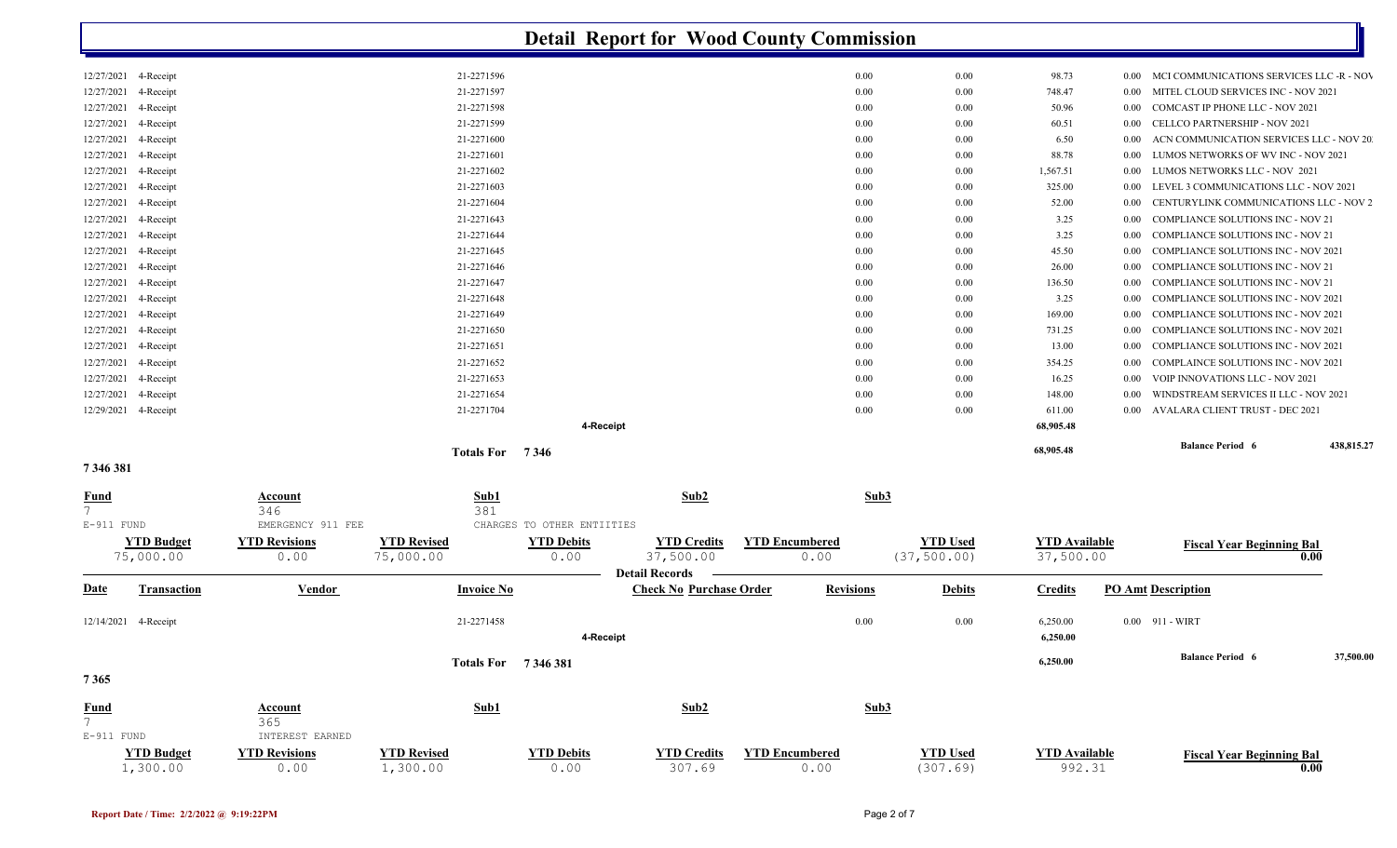|                                   |                       |                           |                            | <b>Detail Report for Wood County Commission</b> |                       |                 |                      |          |                                            |            |
|-----------------------------------|-----------------------|---------------------------|----------------------------|-------------------------------------------------|-----------------------|-----------------|----------------------|----------|--------------------------------------------|------------|
| 12/27/2021<br>4-Receipt           |                       | 21-2271596                |                            |                                                 | 0.00                  | $0.00\,$        | 98.73                | $0.00\,$ | MCI COMMUNICATIONS SERVICES LLC -R - NOV   |            |
| 4-Receipt<br>12/27/2021           |                       | 21-2271597                |                            |                                                 | 0.00                  | 0.00            | 748.47               | 0.00     | MITEL CLOUD SERVICES INC - NOV 2021        |            |
| 12/27/2021<br>4-Receipt           |                       | 21-2271598                |                            |                                                 | 0.00                  | 0.00            | 50.96                | 0.00     | COMCAST IP PHONE LLC - NOV 2021            |            |
| 12/27/2021<br>4-Receipt           |                       | 21-2271599                |                            |                                                 | 0.00                  | 0.00            | 60.51                | 0.00     | CELLCO PARTNERSHIP - NOV 2021              |            |
| 4-Receipt<br>12/27/2021           |                       | 21-2271600                |                            |                                                 | 0.00                  | 0.00            | 6.50                 | 0.00     | ACN COMMUNICATION SERVICES LLC - NOV 20    |            |
| 12/27/2021<br>4-Receipt           |                       | 21-2271601                |                            |                                                 | 0.00                  | 0.00            | 88.78                | 0.00     | LUMOS NETWORKS OF WV INC - NOV 2021        |            |
| 12/27/2021<br>4-Receipt           |                       | 21-2271602                |                            |                                                 | 0.00                  | 0.00            | 1,567.51             | 0.00     | LUMOS NETWORKS LLC - NOV 2021              |            |
| 12/27/2021<br>4-Receipt           |                       | 21-2271603                |                            |                                                 | 0.00                  | 0.00            | 325.00               | 0.00     | LEVEL 3 COMMUNICATIONS LLC - NOV 2021      |            |
| 12/27/2021<br>4-Receipt           |                       | 21-2271604                |                            |                                                 | 0.00                  | 0.00            | 52.00                | 0.00     | CENTURYLINK COMMUNICATIONS LLC - NOV 2     |            |
| 12/27/2021<br>4-Receipt           |                       | 21-2271643                |                            |                                                 | 0.00                  | 0.00            | 3.25                 | 0.00     | <b>COMPLIANCE SOLUTIONS INC - NOV 21</b>   |            |
| 12/27/2021<br>4-Receipt           |                       | 21-2271644                |                            |                                                 | 0.00                  | 0.00            | 3.25                 | 0.00     | <b>COMPLIANCE SOLUTIONS INC - NOV 21</b>   |            |
| 4-Receipt<br>12/27/2021           |                       | 21-2271645                |                            |                                                 | 0.00                  | 0.00            | 45.50                | 0.00     | <b>COMPLIANCE SOLUTIONS INC - NOV 2021</b> |            |
| 12/27/2021<br>4-Receipt           |                       | 21-2271646                |                            |                                                 | 0.00                  | 0.00            | 26.00                | 0.00     | <b>COMPLIANCE SOLUTIONS INC - NOV 21</b>   |            |
| 12/27/2021<br>4-Receipt           |                       | 21-2271647                |                            |                                                 | 0.00                  | 0.00            | 136.50               | 0.00     | <b>COMPLIANCE SOLUTIONS INC - NOV 21</b>   |            |
| 12/27/2021<br>4-Receipt           |                       | 21-2271648                |                            |                                                 | 0.00                  | 0.00            | 3.25                 | 0.00     | COMPLIANCE SOLUTIONS INC - NOV 2021        |            |
| 12/27/2021<br>4-Receipt           |                       | 21-2271649                |                            |                                                 | 0.00                  | 0.00            | 169.00               | 0.00     | COMPLIANCE SOLUTIONS INC - NOV 2021        |            |
|                                   |                       |                           |                            |                                                 |                       |                 |                      |          |                                            |            |
| 4-Receipt<br>12/27/2021           |                       | 21-2271650                |                            |                                                 | 0.00                  | 0.00            | 731.25               | 0.00     | COMPLIANCE SOLUTIONS INC - NOV 2021        |            |
| 12/27/2021<br>4-Receipt           |                       | 21-2271651                |                            |                                                 | 0.00                  | 0.00            | 13.00                | 0.00     | <b>COMPLIANCE SOLUTIONS INC - NOV 2021</b> |            |
| 12/27/2021<br>4-Receipt           |                       | 21-2271652                |                            |                                                 | 0.00                  | 0.00            | 354.25               | 0.00     | <b>COMPLAINCE SOLUTIONS INC - NOV 2021</b> |            |
| 12/27/2021<br>4-Receipt           |                       | 21-2271653                |                            |                                                 | 0.00                  | 0.00            | 16.25                | 0.00     | VOIP INNOVATIONS LLC - NOV 2021            |            |
| 12/27/2021<br>4-Receipt           |                       | 21-2271654                |                            |                                                 | 0.00                  | 0.00            | 148.00               | 0.00     | WINDSTREAM SERVICES II LLC - NOV 2021      |            |
| 12/29/2021<br>4-Receipt           |                       | 21-2271704                |                            |                                                 | 0.00                  | 0.00            | 611.00               | 0.00     | AVALARA CLIENT TRUST - DEC 2021            |            |
|                                   |                       |                           | 4-Receipt                  |                                                 |                       |                 | 68,905.48            |          |                                            |            |
| 7346381                           |                       | <b>Totals For</b>         | 7 3 4 6                    |                                                 |                       |                 | 68,905.48            |          | <b>Balance Period 6</b>                    | 438,815.27 |
|                                   |                       |                           |                            |                                                 |                       |                 |                      |          |                                            |            |
| <u>Fund</u><br>$7\overline{ }$    | <b>Account</b><br>346 | Sub1<br>381               |                            | Sub2                                            |                       | Sub3            |                      |          |                                            |            |
| E-911 FUND                        | EMERGENCY 911 FEE     |                           | CHARGES TO OTHER ENTIITIES |                                                 |                       |                 |                      |          |                                            |            |
| <b>YTD Budget</b>                 | <b>YTD Revisions</b>  | <b>YTD Revised</b>        | <b>YTD Debits</b>          | <b>YTD Credits</b>                              | <b>YTD Encumbered</b> | <b>YTD Used</b> | <b>YTD</b> Available |          |                                            |            |
| 75,000.00                         | 0.00                  | 75,000.00                 | 0.00                       | 37,500.00                                       | 0.00                  | (37, 500.00)    | 37,500.00            |          | <b>Fiscal Year Beginning Bal</b>           | 0.00       |
|                                   |                       |                           |                            | <b>Detail Records</b>                           |                       |                 |                      |          |                                            |            |
| <b>Transaction</b><br><u>Date</u> | Vendor                | <b>Invoice No</b>         |                            | <b>Check No Purchase Order</b>                  | <b>Revisions</b>      | <b>Debits</b>   | <b>Credits</b>       |          | <b>PO Amt Description</b>                  |            |
| 12/14/2021 4-Receipt              |                       | 21-2271458                |                            |                                                 | 0.00                  | 0.00            | 6,250.00             |          | 0.00 911 - WIRT                            |            |
|                                   |                       |                           | 4-Receipt                  |                                                 |                       |                 | 6,250.00             |          |                                            |            |
| 7365                              |                       | <b>Totals For</b> 7346381 |                            |                                                 |                       |                 | 6,250.00             |          | <b>Balance Period 6</b>                    | 37,500.00  |
|                                   |                       |                           |                            |                                                 |                       |                 |                      |          |                                            |            |
| $\frac{Fund}{7}$                  | <b>Account</b>        | Sub1                      |                            | Sub2                                            |                       | Sub3            |                      |          |                                            |            |
|                                   | 365                   |                           |                            |                                                 |                       |                 |                      |          |                                            |            |
| E-911 FUND                        | INTEREST EARNED       |                           |                            |                                                 |                       |                 |                      |          |                                            |            |
| <b>YTD Budget</b>                 | <b>YTD Revisions</b>  | <b>YTD Revised</b>        | <b>YTD Debits</b>          | <b>YTD Credits</b>                              | <b>YTD Encumbered</b> | <b>YTD Used</b> | <b>YTD</b> Available |          | <b>Fiscal Year Beginning Bal</b>           |            |
| 1,300.00                          | 0.00                  | 1,300.00                  | 0.00                       | 307.69                                          | 0.00                  | (307.69)        | 992.31               |          |                                            | 0.00       |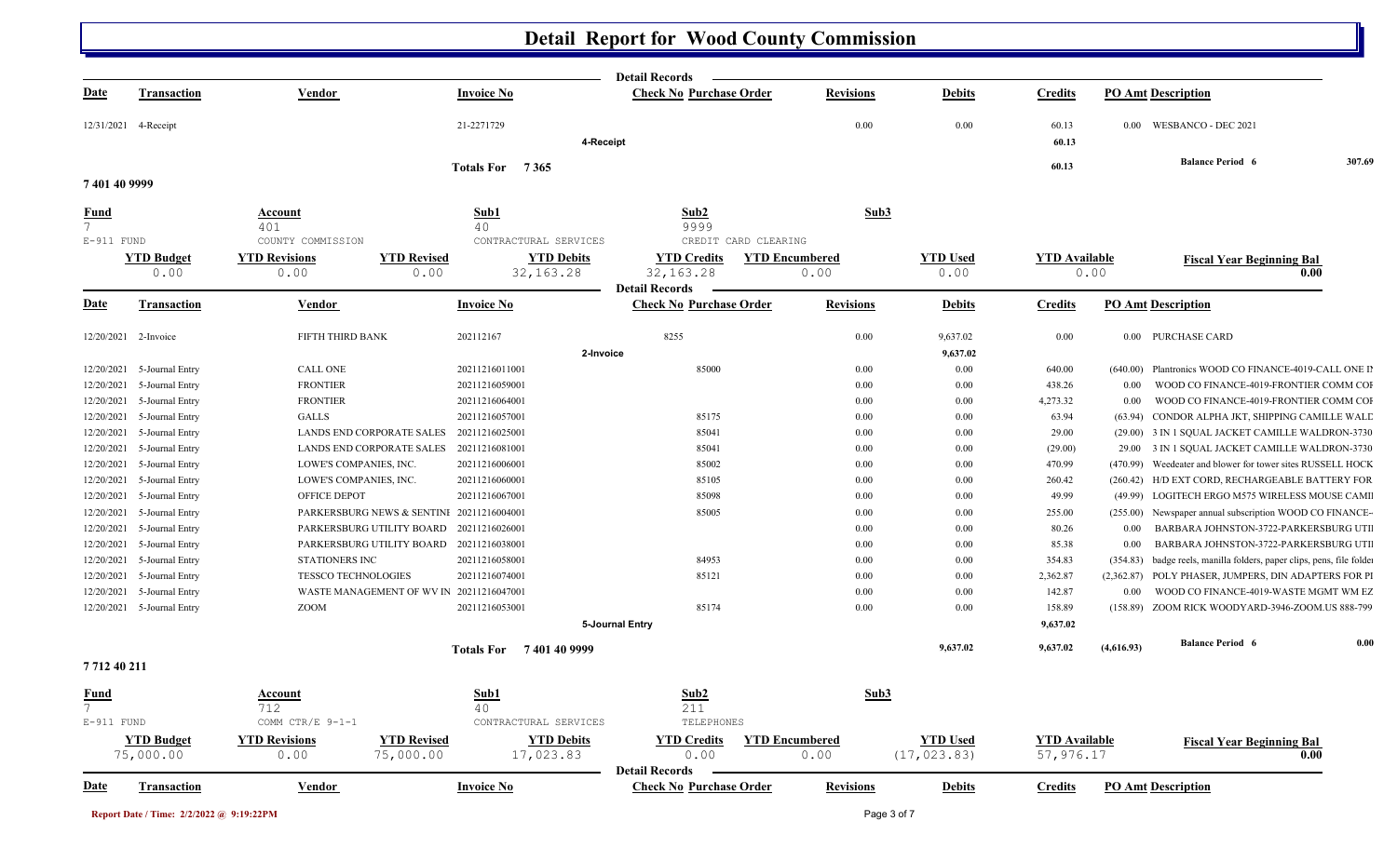|               |                                |                                                                 |                                | <b>Detail Records</b>                               |                  |                                 |                                   |            |                                                                       |      |
|---------------|--------------------------------|-----------------------------------------------------------------|--------------------------------|-----------------------------------------------------|------------------|---------------------------------|-----------------------------------|------------|-----------------------------------------------------------------------|------|
| <u>Date</u>   | <b>Transaction</b>             | Vendor                                                          | <b>Invoice No</b>              | <b>Check No Purchase Order</b>                      | <b>Revisions</b> | <b>Debits</b>                   | <b>Credits</b>                    |            | <b>PO Amt Description</b>                                             |      |
|               | 12/31/2021 4-Receipt           |                                                                 | 21-2271729                     |                                                     | 0.00             | 0.00                            | 60.13                             |            | 0.00 WESBANCO - DEC 2021                                              |      |
|               |                                |                                                                 | 4-Receipt                      |                                                     |                  |                                 | 60.13                             |            |                                                                       |      |
|               |                                |                                                                 | Totals For 7365                |                                                     |                  |                                 | 60.13                             |            | <b>Balance Period 6</b>                                               |      |
| 7 401 40 9999 |                                |                                                                 |                                |                                                     |                  |                                 |                                   |            |                                                                       |      |
| <b>Fund</b>   |                                | <b>Account</b>                                                  | Sub1                           | Sub2                                                | Sub3             |                                 |                                   |            |                                                                       |      |
| $7^{\circ}$   |                                | 401                                                             | 40                             | 9999                                                |                  |                                 |                                   |            |                                                                       |      |
| $E-911$ FUND  |                                | COUNTY COMMISSION                                               | CONTRACTURAL SERVICES          | CREDIT CARD CLEARING                                |                  |                                 |                                   |            |                                                                       |      |
|               | <b>YTD Budget</b>              | <b>YTD Revised</b><br><b>YTD Revisions</b>                      | <b>YTD Debits</b>              | <b>YTD Credits</b><br><b>YTD Encumbered</b>         |                  | <b>YTD Used</b>                 | <b>YTD</b> Available              |            | <b>Fiscal Year Beginning Bal</b>                                      |      |
|               | 0.00                           | 0.00<br>0.00                                                    | 32, 163. 28                    | 32, 163.28                                          | 0.00             | 0.00                            |                                   | 0.00       |                                                                       | 0.00 |
|               |                                |                                                                 |                                | <b>Detail Records</b>                               |                  |                                 |                                   |            |                                                                       |      |
| <u>Date</u>   | <b>Transaction</b>             | <b>Vendor</b>                                                   | <b>Invoice No</b>              | <b>Check No Purchase Order</b>                      | <b>Revisions</b> | <b>Debits</b>                   | <b>Credits</b>                    |            | <b>PO Amt Description</b>                                             |      |
| 12/20/2021    | 2-Invoice                      | FIFTH THIRD BANK                                                | 202112167                      | 8255                                                | $0.00\,$         | 9,637.02                        | 0.00                              |            | 0.00 PURCHASE CARD                                                    |      |
|               |                                |                                                                 | 2-Invoice                      |                                                     |                  | 9,637.02                        |                                   |            |                                                                       |      |
| 12/20/2021    | 5-Journal Entry                | <b>CALL ONE</b>                                                 | 20211216011001                 | 85000                                               | $0.00\,$         | $0.00\,$                        | 640.00                            |            | (640.00) Plantronics WOOD CO FINANCE-4019-CALL ONE II                 |      |
| 12/20/2021    | 5-Journal Entry                | <b>FRONTIER</b>                                                 | 20211216059001                 |                                                     | $0.00\,$         | 0.00                            | 438.26                            | $0.00\,$   | WOOD CO FINANCE-4019-FRONTIER COMM COI                                |      |
| 12/20/2021    | 5-Journal Entry                | <b>FRONTIER</b>                                                 | 20211216064001                 |                                                     | $0.00\,$         | $0.00\,$                        | 4,273.32                          | $0.00\,$   | WOOD CO FINANCE-4019-FRONTIER COMM COI                                |      |
| 12/20/2021    | 5-Journal Entry                | <b>GALLS</b>                                                    | 20211216057001                 | 85175                                               | $0.00\,$         | 0.00                            | 63.94                             | (63.94)    | CONDOR ALPHA JKT, SHIPPING CAMILLE WALL                               |      |
| 12/20/2021    | 5-Journal Entry                | LANDS END CORPORATE SALES                                       | 20211216025001                 | 85041                                               | $0.00\,$         | $0.00\,$                        | 29.00                             |            | (29.00) 3 IN 1 SQUAL JACKET CAMILLE WALDRON-3730                      |      |
| 12/20/2021    | 5-Journal Entry                | LANDS END CORPORATE SALES                                       | 20211216081001                 | 85041                                               | $0.00\,$         | 0.00                            | (29.00)                           |            | 29.00 3 IN 1 SQUAL JACKET CAMILLE WALDRON-3730                        |      |
| 12/20/2021    | 5-Journal Entry                | LOWE'S COMPANIES, INC.                                          | 20211216006001                 | 85002                                               | $0.00\,$         | 0.00                            | 470.99                            | (470.99)   | Weedeater and blower for tower sites RUSSELL HOCK                     |      |
| 12/20/2021    | 5-Journal Entry                | LOWE'S COMPANIES, INC.                                          | 20211216060001                 | 85105                                               | $0.00\,$         | 0.00                            | 260.42                            |            | (260.42) H/D EXT CORD, RECHARGEABLE BATTERY FOR                       |      |
| 12/20/2021    | 5-Journal Entry                | OFFICE DEPOT                                                    | 20211216067001                 | 85098                                               | $0.00\,$         | 0.00                            | 49.99                             |            | (49.99) LOGITECH ERGO M575 WIRELESS MOUSE CAMI                        |      |
| 12/20/2021    | 5-Journal Entry                | PARKERSBURG NEWS & SENTINI 20211216004001                       |                                | 85005                                               | $0.00\,$         | 0.00                            | 255.00                            |            | (255.00) Newspaper annual subscription WOOD CO FINANCE-               |      |
| 12/20/2021    | 5-Journal Entry                | PARKERSBURG UTILITY BOARD 20211216026001                        |                                |                                                     | $0.00\,$         | 0.00                            | 80.26                             | $0.00\,$   | BARBARA JOHNSTON-3722-PARKERSBURG UTI                                 |      |
| 12/20/2021    | 5-Journal Entry                | PARKERSBURG UTILITY BOARD 20211216038001                        |                                |                                                     | $0.00\,$         | $0.00\,$                        | 85.38                             | $0.00\,$   | BARBARA JOHNSTON-3722-PARKERSBURG UTI                                 |      |
| 12/20/2021    | 5-Journal Entry                | <b>STATIONERS INC</b>                                           | 20211216058001                 | 84953                                               | $0.00\,$         | 0.00                            | 354.83                            |            | (354.83) badge reels, manilla folders, paper clips, pens, file folder |      |
| 12/20/2021    | 5-Journal Entry                | <b>TESSCO TECHNOLOGIES</b>                                      | 20211216074001                 | 85121                                               | $0.00\,$         | 0.00                            | 2,362.87                          |            | (2,362.87) POLY PHASER, JUMPERS, DIN ADAPTERS FOR PI                  |      |
| 12/20/2021    | 5-Journal Entry                | WASTE MANAGEMENT OF WV IN 20211216047001                        |                                |                                                     | 0.00             | 0.00                            | 142.87                            | 0.00       | WOOD CO FINANCE-4019-WASTE MGMT WM EZ                                 |      |
|               | 12/20/2021 5-Journal Entry     | ZOOM                                                            | 20211216053001                 | 85174                                               | $0.00\,$         | 0.00                            | 158.89                            |            | (158.89) ZOOM RICK WOODYARD-3946-ZOOM.US 888-799                      |      |
|               |                                |                                                                 |                                | 5-Journal Entry                                     |                  |                                 | 9,637.02                          |            |                                                                       |      |
|               |                                |                                                                 | <b>Totals For</b> 7401409999   |                                                     |                  | 9,637.02                        | 9,637.02                          | (4,616.93) | <b>Balance Period 6</b>                                               |      |
| 7712 40 211   |                                |                                                                 |                                |                                                     |                  |                                 |                                   |            |                                                                       |      |
| <u>Fund</u>   |                                | Account                                                         | Sub1                           | Sub2                                                | Sub3             |                                 |                                   |            |                                                                       |      |
| $E-911$ FUND  |                                | 712<br>COMM CTR/E 9-1-1                                         | 40<br>CONTRACTURAL SERVICES    | 211<br>TELEPHONES                                   |                  |                                 |                                   |            |                                                                       |      |
|               |                                |                                                                 |                                |                                                     |                  |                                 |                                   |            |                                                                       |      |
|               | <b>YTD Budget</b><br>75,000.00 | <b>YTD Revisions</b><br><b>YTD Revised</b><br>75,000.00<br>0.00 | <b>YTD Debits</b><br>17,023.83 | <b>YTD Credits</b><br><b>YTD Encumbered</b><br>0.00 | 0.00             | <b>YTD Used</b><br>(17, 023.83) | <b>YTD Available</b><br>57,976.17 |            | <u>Fiscal Year Beginning Bal</u>                                      | 0.00 |
|               |                                |                                                                 |                                | <b>Detail Records</b>                               |                  |                                 |                                   |            |                                                                       |      |
| <b>Date</b>   | <b>Transaction</b>             | Vendor                                                          | <b>Invoice No</b>              | <b>Check No Purchase Order</b>                      | <b>Revisions</b> | <b>Debits</b>                   | <b>Credits</b>                    |            | <b>PO Amt Description</b>                                             |      |
|               |                                |                                                                 |                                |                                                     |                  |                                 |                                   |            |                                                                       |      |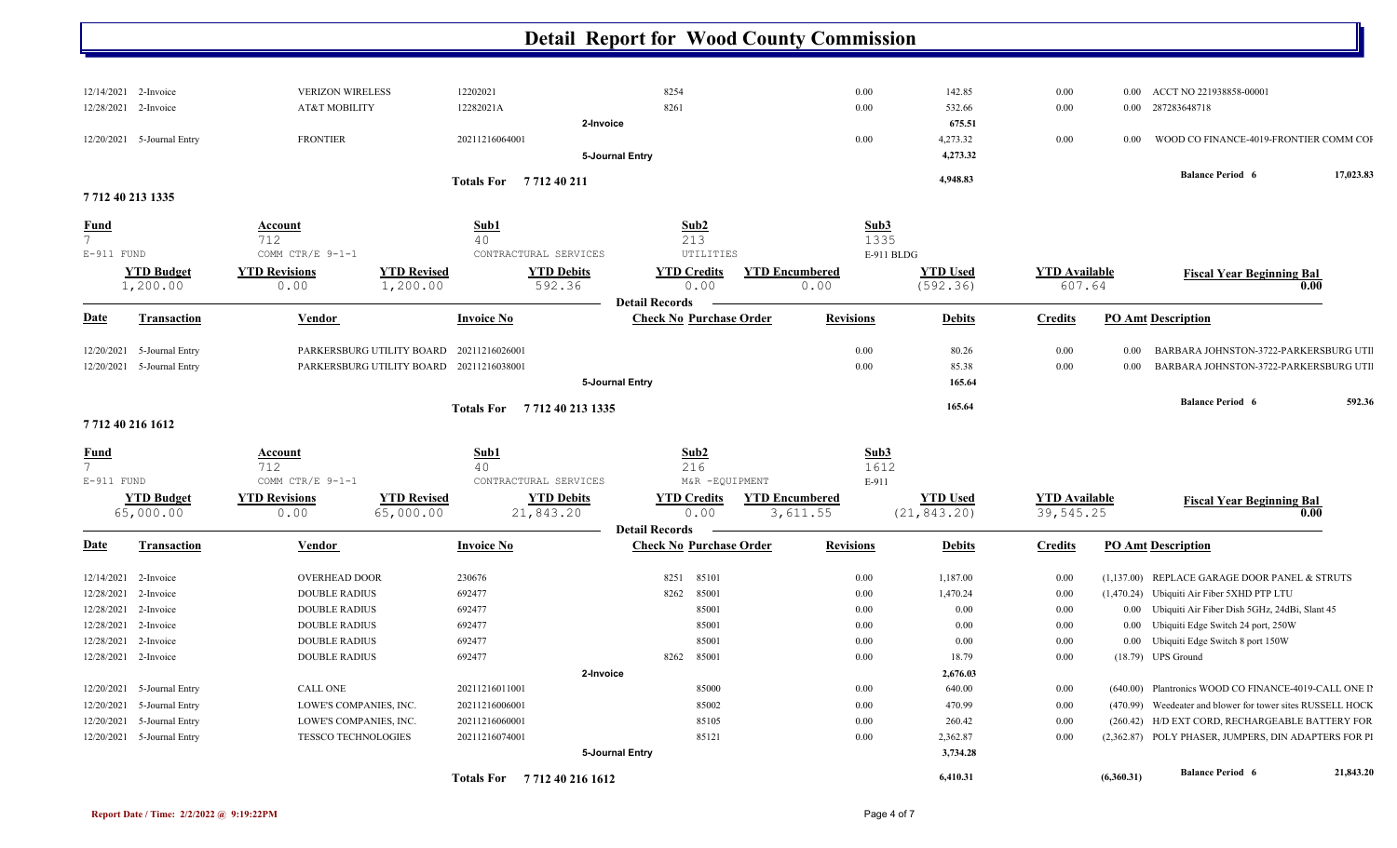| 12/14/2021 2-Invoice              | <b>VERIZON WIRELESS</b>    |                                          | 12202021                   | 8254                           | $0.00\,$              | 142.85          | $0.00\,$             |          | 0.00 ACCT NO 221938858-00001                               |           |
|-----------------------------------|----------------------------|------------------------------------------|----------------------------|--------------------------------|-----------------------|-----------------|----------------------|----------|------------------------------------------------------------|-----------|
| 12/28/2021 2-Invoice              | AT&T MOBILITY              |                                          | 12282021A                  | 8261                           | $0.00\,$              | 532.66          | 0.00                 |          | 0.00 287283648718                                          |           |
|                                   |                            |                                          | 2-Invoice                  |                                |                       | 675.51          |                      |          |                                                            |           |
| 12/20/2021 5-Journal Entry        | <b>FRONTIER</b>            |                                          | 20211216064001             |                                | $0.00\,$              | 4,273.32        | 0.00                 | $0.00\,$ | WOOD CO FINANCE-4019-FRONTIER COMM COI                     |           |
|                                   |                            |                                          |                            | 5-Journal Entry                |                       | 4,273.32        |                      |          |                                                            |           |
|                                   |                            |                                          | Totals For 7712 40 211     |                                |                       | 4,948.83        |                      |          | <b>Balance Period 6</b>                                    | 17,023.83 |
| 7712 40 213 1335                  |                            |                                          |                            |                                |                       |                 |                      |          |                                                            |           |
| <b>Fund</b>                       | <b>Account</b>             |                                          | Sub1                       | Sub2                           | Sub3                  |                 |                      |          |                                                            |           |
| $7^{\circ}$                       | 712                        |                                          | 40                         | 213                            |                       | 1335            |                      |          |                                                            |           |
| E-911 FUND                        | COMM CTR/E 9-1-1           |                                          | CONTRACTURAL SERVICES      | UTILITIES                      |                       | E-911 BLDG      |                      |          |                                                            |           |
| <b>YTD Budget</b>                 | <b>YTD Revisions</b>       | <b>YTD Revised</b>                       | <b>YTD Debits</b>          | <b>YTD Credits</b>             | <b>YTD Encumbered</b> | <b>YTD Used</b> | <b>YTD Available</b> |          | <b>Fiscal Year Beginning Bal</b>                           |           |
| 1,200.00                          | 0.00                       | 1,200.00                                 | 592.36                     | 0.00                           | 0.00                  | (592.36)        | 607.64               |          |                                                            | 0.00      |
|                                   |                            |                                          |                            | <b>Detail Records</b>          |                       |                 |                      |          |                                                            |           |
| <b>Date</b><br><b>Transaction</b> | Vendor                     |                                          | <b>Invoice No</b>          | <b>Check No Purchase Order</b> | <b>Revisions</b>      | <b>Debits</b>   | <b>Credits</b>       |          | <b>PO Amt Description</b>                                  |           |
| 5-Journal Entry<br>12/20/2021     |                            | PARKERSBURG UTILITY BOARD 20211216026001 |                            |                                | 0.00                  | 80.26           | 0.00                 | $0.00\,$ | BARBARA JOHNSTON-3722-PARKERSBURG UTI                      |           |
| 12/20/2021 5-Journal Entry        |                            | PARKERSBURG UTILITY BOARD 20211216038001 |                            |                                | $0.00\,$              | 85.38           | 0.00                 | $0.00\,$ | BARBARA JOHNSTON-3722-PARKERSBURG UTI                      |           |
|                                   |                            |                                          |                            | 5-Journal Entry                |                       | 165.64          |                      |          |                                                            |           |
|                                   |                            |                                          |                            |                                |                       | 165.64          |                      |          | <b>Balance Period 6</b>                                    | 592.36    |
| 7712 40 216 1612                  |                            |                                          | Totals For 771240 213 1335 |                                |                       |                 |                      |          |                                                            |           |
|                                   |                            |                                          |                            |                                |                       |                 |                      |          |                                                            |           |
| <b>Fund</b><br>$7^{\circ}$        | <b>Account</b><br>712      |                                          | Sub1<br>40                 | Sub <sub>2</sub><br>216        | Sub3                  | 1612            |                      |          |                                                            |           |
| $E-911$ FUND                      | COMM CTR/E 9-1-1           |                                          | CONTRACTURAL SERVICES      | M&R -EQUIPMENT                 | E-911                 |                 |                      |          |                                                            |           |
| <b>YTD Budget</b>                 | <b>YTD Revisions</b>       | <b>YTD Revised</b>                       | <b>YTD Debits</b>          | <b>YTD Credits</b>             | <b>YTD Encumbered</b> | <b>YTD Used</b> | <b>YTD</b> Available |          |                                                            |           |
| 65,000.00                         | 0.00                       | 65,000.00                                | 21,843.20                  | 0.00                           | 3,611.55              | (21, 843.20)    | 39,545.25            |          | <b>Fiscal Year Beginning Bal</b>                           | 0.00      |
|                                   |                            |                                          |                            | <b>Detail Records</b>          |                       |                 |                      |          |                                                            |           |
| <b>Date</b><br><b>Transaction</b> | Vendor                     |                                          | <b>Invoice No</b>          | <b>Check No Purchase Order</b> | <b>Revisions</b>      | <b>Debits</b>   | <b>Credits</b>       |          | <b>PO Amt Description</b>                                  |           |
| 12/14/2021<br>2-Invoice           | <b>OVERHEAD DOOR</b>       |                                          | 230676                     | 8251<br>85101                  | $0.00\,$              | 1,187.00        | 0.00                 |          | (1,137.00) REPLACE GARAGE DOOR PANEL & STRUTS              |           |
| 12/28/2021<br>2-Invoice           | <b>DOUBLE RADIUS</b>       |                                          | 692477                     | 8262<br>85001                  | $0.00\,$              | 1,470.24        | 0.00                 |          | (1,470.24) Ubiquiti Air Fiber 5XHD PTP LTU                 |           |
| 12/28/2021<br>2-Invoice           | <b>DOUBLE RADIUS</b>       |                                          | 692477                     | 85001                          | $0.00\,$              | 0.00            | 0.00                 |          | 0.00 Ubiquiti Air Fiber Dish 5GHz, 24dBi, Slant 45         |           |
| 12/28/2021<br>2-Invoice           | <b>DOUBLE RADIUS</b>       |                                          | 692477                     | 85001                          | $0.00\,$              | 0.00            | 0.00                 |          | 0.00 Ubiquiti Edge Switch 24 port, 250W                    |           |
| 12/28/2021<br>2-Invoice           | <b>DOUBLE RADIUS</b>       |                                          | 692477                     | 85001                          | $0.00\,$              | 0.00            | 0.00                 |          | 0.00 Ubiquiti Edge Switch 8 port 150W                      |           |
| 12/28/2021 2-Invoice              | <b>DOUBLE RADIUS</b>       |                                          | 692477                     | 8262<br>85001                  | $0.00\,$              | 18.79           | 0.00                 |          | $(18.79)$ UPS Ground                                       |           |
|                                   |                            |                                          | 2-Invoice                  |                                |                       | 2,676.03        |                      |          |                                                            |           |
| 5-Journal Entry<br>12/20/2021     | CALL ONE                   |                                          | 20211216011001             | 85000                          | $0.00\,$              | 640.00          | $0.00\,$             |          | (640.00) Plantronics WOOD CO FINANCE-4019-CALL ONE II      |           |
| 12/20/2021<br>5-Journal Entry     | LOWE'S COMPANIES, INC.     |                                          | 20211216006001             | 85002                          | $0.00\,$              | 470.99          | 0.00                 |          | (470.99) Weedeater and blower for tower sites RUSSELL HOCK |           |
| 5-Journal Entry<br>12/20/2021     | LOWE'S COMPANIES, INC.     |                                          | 20211216060001             | 85105                          | $0.00\,$              | 260.42          | 0.00                 |          | (260.42) H/D EXT CORD, RECHARGEABLE BATTERY FOR            |           |
| 12/20/2021 5-Journal Entry        | <b>TESSCO TECHNOLOGIES</b> |                                          | 20211216074001             | 85121                          | $0.00\,$              | 2,362.87        | 0.00                 |          | (2,362.87) POLY PHASER, JUMPERS, DIN ADAPTERS FOR PI       |           |
|                                   |                            |                                          |                            | 5-Journal Entry                |                       | 3,734.28        |                      |          |                                                            |           |
|                                   |                            |                                          |                            |                                |                       |                 |                      |          |                                                            | 21,843.20 |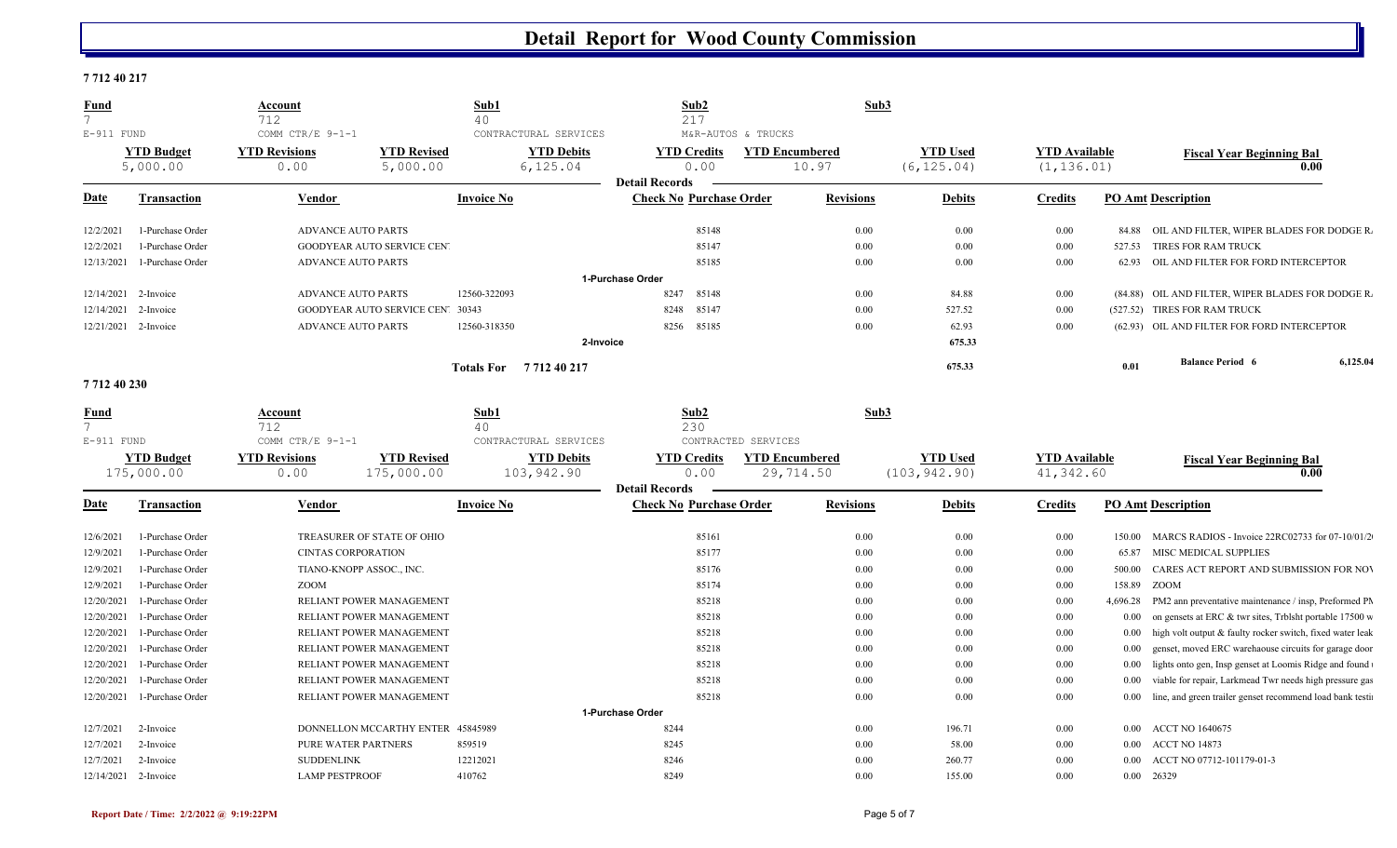## **7 712 40 217**

| <b>Fund</b><br>$\overline{7}$<br>E-911 FUND                                                                        | Account<br>712<br>COMM CTR/E 9-1-1 | Sub1<br>40<br>CONTRACTURAL SERVICES |                       | Sub2<br>217<br>M&R-AUTOS & TRUCKS | Sub3                  |                 |                      |          |                                                           |          |
|--------------------------------------------------------------------------------------------------------------------|------------------------------------|-------------------------------------|-----------------------|-----------------------------------|-----------------------|-----------------|----------------------|----------|-----------------------------------------------------------|----------|
| <b>YTD Budget</b>                                                                                                  | <b>YTD Revisions</b>               | <b>YTD Revised</b>                  | <b>YTD Debits</b>     | <b>YTD Credits</b>                | <b>YTD</b> Encumbered | <b>YTD</b> Used | <b>YTD Available</b> |          | <b>Fiscal Year Beginning Bal</b>                          |          |
| 5,000.00                                                                                                           | 0.00                               | 5,000.00                            | 6, 125.04             | 0.00<br><b>Detail Records</b>     | 10.97                 | (6, 125.04)     | (1, 136.01)          |          |                                                           | 0.00     |
| <u>Date</u><br><b>Transaction</b>                                                                                  | Vendor                             |                                     | <b>Invoice No</b>     | <b>Check No Purchase Order</b>    | <b>Revisions</b>      | <b>Debits</b>   | <b>Credits</b>       |          | <b>PO Amt Description</b>                                 |          |
| 12/2/2021<br>1-Purchase Order                                                                                      | <b>ADVANCE AUTO PARTS</b>          |                                     |                       | 85148                             | 0.00                  | 0.00            | 0.00                 |          | 84.88 OIL AND FILTER, WIPER BLADES FOR DODGE R.           |          |
| 12/2/2021<br>1-Purchase Order                                                                                      |                                    | GOODYEAR AUTO SERVICE CEN'          |                       | 85147                             | 0.00                  | 0.00            | 0.00                 | 527.53   | TIRES FOR RAM TRUCK                                       |          |
| 12/13/2021<br>1-Purchase Order                                                                                     | <b>ADVANCE AUTO PARTS</b>          |                                     |                       | 85185                             | 0.00                  | 0.00            | 0.00                 | 62.93    | OIL AND FILTER FOR FORD INTERCEPTOR                       |          |
|                                                                                                                    |                                    |                                     |                       | 1-Purchase Order                  |                       |                 |                      |          |                                                           |          |
| 12/14/2021<br>2-Invoice                                                                                            | <b>ADVANCE AUTO PARTS</b>          |                                     | 12560-322093          | 8247<br>85148                     | 0.00                  | 84.88           | 0.00                 |          | (84.88) OIL AND FILTER, WIPER BLADES FOR DODGE R.         |          |
| 12/14/2021<br>2-Invoice                                                                                            |                                    | GOODYEAR AUTO SERVICE CEN' 30343    |                       | 8248<br>85147                     | 0.00                  | 527.52          | 0.00                 |          | (527.52) TIRES FOR RAM TRUCK                              |          |
| 12/21/2021<br>2-Invoice                                                                                            | <b>ADVANCE AUTO PARTS</b>          |                                     | 12560-318350          | 85185<br>8256                     | $0.00\,$              | 62.93           | 0.00                 |          | (62.93) OIL AND FILTER FOR FORD INTERCEPTOR               |          |
|                                                                                                                    |                                    |                                     |                       | 2-Invoice                         |                       | 675.33          |                      |          |                                                           |          |
|                                                                                                                    |                                    |                                     | Totals For 771240217  |                                   |                       | 675.33          |                      | 0.01     | <b>Balance Period 6</b>                                   | 6,125.04 |
| 771240230                                                                                                          |                                    |                                     |                       |                                   |                       |                 |                      |          |                                                           |          |
| Fund                                                                                                               | Account                            |                                     | Sub1                  | Sub2                              | Sub3                  |                 |                      |          |                                                           |          |
|                                                                                                                    |                                    |                                     |                       |                                   |                       |                 |                      |          |                                                           |          |
| $7^{\circ}$                                                                                                        | 712                                |                                     | 40                    | 230                               |                       |                 |                      |          |                                                           |          |
| $E-911$ FUND                                                                                                       | COMM CTR/E 9-1-1                   |                                     | CONTRACTURAL SERVICES | CONTRACTED SERVICES               |                       |                 |                      |          |                                                           |          |
| <b>YTD Budget</b>                                                                                                  | <b>YTD Revisions</b>               | <b>YTD Revised</b>                  | <b>YTD Debits</b>     | <b>YTD Credits</b>                | <b>YTD Encumbered</b> | <b>YTD Used</b> | <b>YTD Available</b> |          | <b>Fiscal Year Beginning Bal</b>                          |          |
| 175,000.00                                                                                                         | 0.00                               | 175,000.00                          | 103,942.90            | 0.00<br><b>Detail Records</b>     | 29,714.50             | (103, 942.90)   | 41,342.60            |          |                                                           | 0.00     |
| <b>Transaction</b>                                                                                                 | <b>Vendor</b>                      |                                     | <b>Invoice No</b>     | <b>Check No Purchase Order</b>    | <b>Revisions</b>      | <b>Debits</b>   | <b>Credits</b>       |          | <b>PO Amt Description</b>                                 |          |
| 1-Purchase Order                                                                                                   |                                    | TREASURER OF STATE OF OHIO          |                       | 85161                             | 0.00                  | 0.00            | 0.00                 | 150.00   | MARCS RADIOS - Invoice 22RC02733 for 07-10/01/2           |          |
| 1-Purchase Order                                                                                                   | <b>CINTAS CORPORATION</b>          |                                     |                       | 85177                             | 0.00                  | 0.00            | 0.00                 | 65.87    | MISC MEDICAL SUPPLIES                                     |          |
| 1-Purchase Order                                                                                                   | TIANO-KNOPP ASSOC., INC.           |                                     |                       | 85176                             | 0.00                  | 0.00            | 0.00                 | 500.00   | CARES ACT REPORT AND SUBMISSION FOR NOV                   |          |
| Date<br>12/6/2021<br>12/9/2021<br>12/9/2021<br>12/9/2021<br>1-Purchase Order                                       | ZOOM                               |                                     |                       | 85174                             | 0.00                  | 0.00            | 0.00                 | 158.89   | ZOOM                                                      |          |
| 1-Purchase Order                                                                                                   |                                    | RELIANT POWER MANAGEMENT            |                       | 85218                             | $0.00\,$              | 0.00            | 0.00                 | 4,696.28 | PM2 ann preventative maintenance / insp, Preformed PM     |          |
| 1-Purchase Order                                                                                                   |                                    | RELIANT POWER MANAGEMENT            |                       | 85218                             | 0.00                  | 0.00            | 0.00                 | $0.00\,$ | on gensets at ERC & twr sites, Trblsht portable 17500 w   |          |
| 1-Purchase Order                                                                                                   |                                    | RELIANT POWER MANAGEMENT            |                       | 85218                             | 0.00                  | 0.00            | 0.00                 | $0.00\,$ | high volt output & faulty rocker switch, fixed water leak |          |
| 1-Purchase Order                                                                                                   |                                    | RELIANT POWER MANAGEMENT            |                       | 85218                             | 0.00                  | 0.00            | 0.00                 | 0.00     | genset, moved ERC warehaouse circuits for garage door     |          |
| 1-Purchase Order                                                                                                   |                                    | RELIANT POWER MANAGEMENT            |                       | 85218                             | $0.00\,$              | 0.00            | 0.00                 | 0.00     | lights onto gen, Insp genset at Loomis Ridge and found    |          |
| 1-Purchase Order                                                                                                   |                                    | RELIANT POWER MANAGEMENT            |                       | 85218                             | 0.00                  | 0.00            | 0.00                 | 0.00     | viable for repair, Larkmead Twr needs high pressure gas   |          |
| 12/20/2021<br>12/20/2021<br>12/20/2021<br>12/20/2021<br>12/20/2021<br>12/20/2021<br>12/20/2021<br>1-Purchase Order |                                    | RELIANT POWER MANAGEMENT            |                       | 85218                             | 0.00                  | 0.00            | 0.00                 | $0.00\,$ | line, and green trailer genset recommend load bank testi  |          |
|                                                                                                                    |                                    |                                     |                       | 1-Purchase Order                  |                       |                 |                      |          |                                                           |          |
| 2-Invoice                                                                                                          |                                    | DONNELLON MCCARTHY ENTER 45845989   |                       | 8244                              | $0.00\,$              | 196.71          | 0.00                 | $0.00\,$ | <b>ACCT NO 1640675</b>                                    |          |
| 12/7/2021<br>12/7/2021<br>2-Invoice                                                                                | PURE WATER PARTNERS                |                                     | 859519                | 8245                              | $0.00\,$              | 58.00           | 0.00                 | $0.00\,$ | ACCT NO 14873                                             |          |
| 12/7/2021<br>2-Invoice                                                                                             | <b>SUDDENLINK</b>                  |                                     | 12212021              | 8246                              | 0.00                  | 260.77          | 0.00                 | $0.00\,$ | ACCT NO 07712-101179-01-3                                 |          |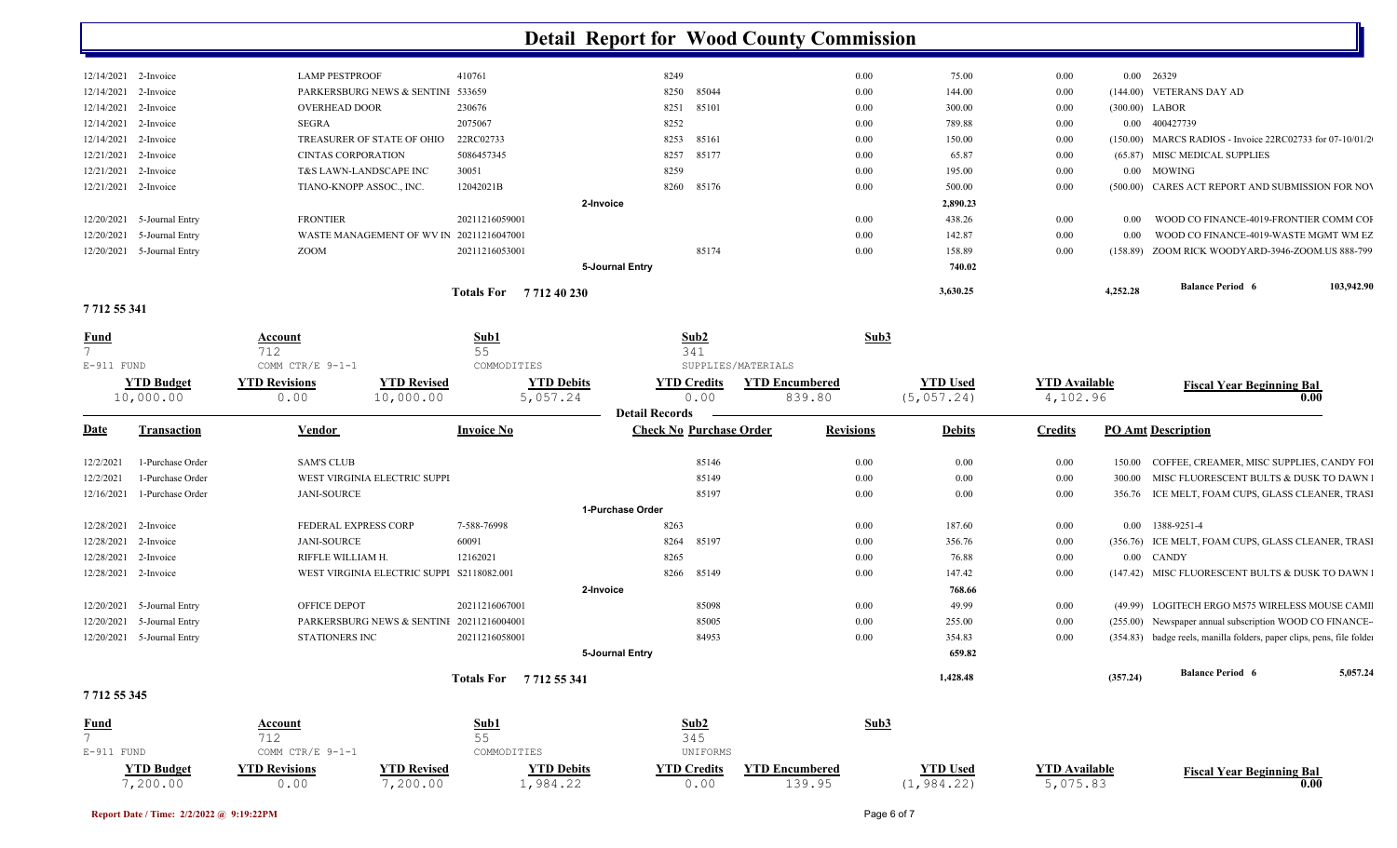|                  | 12/14/2021 2-Invoice       | <b>LAMP PESTPROOF</b>     |                                           | 410761                 | 8249                           | $0.00\,$                        | 75.00           | 0.00                 |                | 0.00 26329                                                            |            |
|------------------|----------------------------|---------------------------|-------------------------------------------|------------------------|--------------------------------|---------------------------------|-----------------|----------------------|----------------|-----------------------------------------------------------------------|------------|
| 12/14/2021       | 2-Invoice                  |                           | PARKERSBURG NEWS & SENTINI 533659         |                        | 85044<br>8250                  | $0.00\,$                        | 144.00          | 0.00                 |                | (144.00) VETERANS DAY AD                                              |            |
|                  | 12/14/2021 2-Invoice       | <b>OVERHEAD DOOR</b>      |                                           | 230676                 | 8251 85101                     | 0.00                            | 300.00          | 0.00                 | (300.00) LABOR |                                                                       |            |
| 12/14/2021       | 2-Invoice                  | SEGRA                     |                                           | 2075067                | 8252                           | $0.00\,$                        | 789.88          | 0.00                 |                | 0.00 400427739                                                        |            |
| 12/14/2021       | 2-Invoice                  |                           | TREASURER OF STATE OF OHIO                | 22RC02733              | 8253<br>85161                  | $0.00\,$                        | 150.00          | 0.00                 |                | (150.00) MARCS RADIOS - Invoice 22RC02733 for 07-10/01/2              |            |
| 12/21/2021       | 2-Invoice                  | <b>CINTAS CORPORATION</b> |                                           | 5086457345             | 8257<br>85177                  | $0.00\,$                        | 65.87           | 0.00                 |                | (65.87) MISC MEDICAL SUPPLIES                                         |            |
| 12/21/2021       | 2-Invoice                  |                           | T&S LAWN-LANDSCAPE INC                    | 30051                  | 8259                           | $0.00\,$                        | 195.00          | 0.00                 | 0.00           | MOWING                                                                |            |
| 12/21/2021       | 2-Invoice                  | TIANO-KNOPP ASSOC., INC.  |                                           | 12042021B              | 8260 85176                     | $0.00\,$                        | 500.00          | 0.00                 | (500.00)       | CARES ACT REPORT AND SUBMISSION FOR NOV                               |            |
|                  |                            |                           |                                           | 2-Invoice              |                                |                                 | 2,890.23        |                      |                |                                                                       |            |
|                  | 12/20/2021 5-Journal Entry | <b>FRONTIER</b>           |                                           | 20211216059001         |                                | $0.00\,$                        | 438.26          | 0.00                 | 0.00           | WOOD CO FINANCE-4019-FRONTIER COMM COI                                |            |
| 12/20/2021       | 5-Journal Entry            |                           | WASTE MANAGEMENT OF WV IN 20211216047001  |                        |                                | $0.00\,$                        | 142.87          | 0.00                 | 0.00           | WOOD CO FINANCE-4019-WASTE MGMT WM EZ                                 |            |
|                  | 12/20/2021 5-Journal Entry | ZOOM                      |                                           | 20211216053001         | 85174                          | $0.00\,$                        | 158.89          | 0.00                 | (158.89)       | ZOOM RICK WOODYARD-3946-ZOOM.US 888-799                               |            |
|                  |                            |                           |                                           |                        | 5-Journal Entry                |                                 | 740.02          |                      |                |                                                                       |            |
|                  |                            |                           |                                           | Totals For 771240230   |                                |                                 | 3,630.25        |                      | 4,252.28       | <b>Balance Period 6</b>                                               | 103,942.90 |
| 7712 55 341      |                            |                           |                                           |                        |                                |                                 |                 |                      |                |                                                                       |            |
| <u>Fund</u>      |                            | <b>Account</b>            |                                           | Sub1                   | Sub <sub>2</sub>               | Sub3                            |                 |                      |                |                                                                       |            |
| 7                |                            | 712                       |                                           | 55                     | 341                            |                                 |                 |                      |                |                                                                       |            |
| $E-911$ FUND     |                            | COMM CTR/E 9-1-1          |                                           | COMMODITIES            | SUPPLIES/MATERIALS             |                                 |                 |                      |                |                                                                       |            |
|                  | <b>YTD Budget</b>          | <b>YTD Revisions</b>      | <b>YTD Revised</b>                        | <b>YTD Debits</b>      | <b>YTD Credits</b>             | <b>YTD Encumbered</b>           | <b>YTD Used</b> | <b>YTD Available</b> |                | <b>Fiscal Year Beginning Bal</b>                                      |            |
|                  | 10,000.00                  | 0.00                      | 10,000.00                                 | 5,057.24               | 0.00<br><b>Detail Records</b>  | 839.80                          | (5,057.24)      | 4,102.96             |                |                                                                       | 0.00       |
| <u>Date</u>      | <b>Transaction</b>         | Vendor                    |                                           | <b>Invoice No</b>      | <b>Check No Purchase Order</b> | <b>Revisions</b>                | <b>Debits</b>   | <b>Credits</b>       |                | <b>PO Amt Description</b>                                             |            |
|                  |                            |                           |                                           |                        |                                |                                 |                 |                      |                |                                                                       |            |
| 12/2/2021        | 1-Purchase Order           | <b>SAM'S CLUB</b>         |                                           |                        | 85146                          | $0.00\,$                        | 0.00            | 0.00                 | 150.00         | COFFEE, CREAMER, MISC SUPPLIES, CANDY FOI                             |            |
| 12/2/2021        | 1-Purchase Order           |                           | WEST VIRGINIA ELECTRIC SUPPI              |                        | 85149                          | $0.00\,$                        | 0.00            | 0.00                 | 300.00         | MISC FLUORESCENT BULTS & DUSK TO DAWN                                 |            |
| 12/16/2021       | 1-Purchase Order           | <b>JANI-SOURCE</b>        |                                           |                        | 85197                          | $0.00\,$                        | 0.00            | 0.00                 |                | 356.76 ICE MELT, FOAM CUPS, GLASS CLEANER, TRASI                      |            |
|                  |                            |                           |                                           |                        | 1-Purchase Order               |                                 |                 |                      |                |                                                                       |            |
| 12/28/2021       | 2-Invoice                  | FEDERAL EXPRESS CORP      |                                           | 7-588-76998            | 8263                           | $0.00\,$                        | 187.60          | 0.00                 | $0.00\,$       | 1388-9251-4                                                           |            |
| 12/28/2021       | 2-Invoice                  | <b>JANI-SOURCE</b>        |                                           | 60091                  | 8264<br>85197                  | $0.00\,$                        | 356.76          | 0.00                 |                | (356.76) ICE MELT, FOAM CUPS, GLASS CLEANER, TRASI                    |            |
| 12/28/2021       | 2-Invoice                  | RIFFLE WILLIAM H.         |                                           | 12162021               | 8265                           | $0.00\,$                        | 76.88           | 0.00                 |                | 0.00 CANDY                                                            |            |
|                  | 12/28/2021 2-Invoice       |                           | WEST VIRGINIA ELECTRIC SUPPI S2118082.001 |                        | 8266 85149                     | $0.00\,$                        | 147.42          | 0.00                 |                | (147.42) MISC FLUORESCENT BULTS & DUSK TO DAWN I                      |            |
|                  |                            |                           |                                           | 2-Invoice              |                                |                                 | 768.66          |                      |                |                                                                       |            |
| 12/20/2021       | 5-Journal Entry            | OFFICE DEPOT              |                                           | 20211216067001         | 85098                          | $0.00\,$                        | 49.99           | 0.00                 |                | (49.99) LOGITECH ERGO M575 WIRELESS MOUSE CAMI                        |            |
| 12/20/2021       | 5-Journal Entry            |                           | PARKERSBURG NEWS & SENTINI 20211216004001 |                        | 85005                          | $0.00\,$                        | 255.00          | 0.00                 |                | (255.00) Newspaper annual subscription WOOD CO FINANCE-               |            |
|                  | 12/20/2021 5-Journal Entry | <b>STATIONERS INC</b>     |                                           | 20211216058001         | 84953                          | $0.00\,$                        | 354.83          | 0.00                 |                | (354.83) badge reels, manilla folders, paper clips, pens, file folder |            |
|                  |                            |                           |                                           |                        | 5-Journal Entry                |                                 | 659.82          |                      |                |                                                                       |            |
|                  |                            |                           |                                           | Totals For 7712 55 341 |                                |                                 | 1,428.48        |                      | (357.24)       | <b>Balance Period 6</b>                                               | 5,057.24   |
| 7712 55 345      |                            |                           |                                           |                        |                                |                                 |                 |                      |                |                                                                       |            |
| $\frac{Fund}{7}$ |                            | Account                   |                                           | Sub1                   | Sub2                           |                                 | Sub3            |                      |                |                                                                       |            |
|                  |                            | 712                       |                                           | 55                     | $\frac{1}{345}$                |                                 |                 |                      |                |                                                                       |            |
| $E-911$ FUND     |                            | COMM CTR/E 9-1-1          |                                           | COMMODITIES            | UNIFORMS                       |                                 |                 |                      |                |                                                                       |            |
|                  | <b>YTD Budget</b>          | <b>YTD Revisions</b>      | <b>YTD Revised</b>                        | <b>YTD Debits</b>      | <b>YTD Credits</b>             | <b>YTD Encumbered</b><br>139.95 | <b>YTD Used</b> | <b>YTD Available</b> |                | <b>Fiscal Year Beginning Bal</b>                                      | 0.00       |
|                  | 7,200.00                   | 0.00                      | 7,200.00                                  | 1,984.22               | 0.00                           |                                 | (1, 984.22)     | 5,075.83             |                |                                                                       |            |